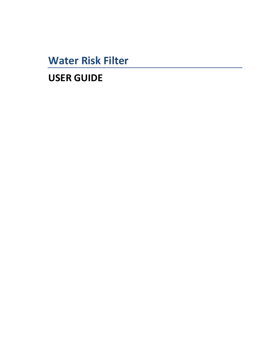**Water Risk Filter** 

**USER GUIDE**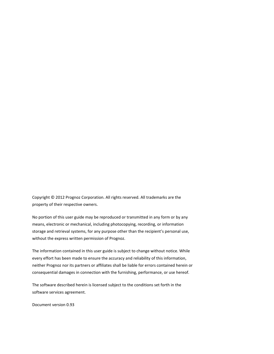Copyright © 2012 Prognoz Corporation. All rights reserved. All trademarks are the property of their respective owners.

No portion of this user guide may be reproduced or transmitted in any form or by any means, electronic or mechanical, including photocopying, recording, or information storage and retrieval systems, for any purpose other than the recipient's personal use, without the express written permission of Prognoz.

The information contained in this user guide is subject to change without notice. While every effort has been made to ensure the accuracy and reliability of this information, neither Prognoz nor its partners or affiliates shall be liable for errors contained herein or consequential damages in connection with the furnishing, performance, or use hereof.

The software described herein is licensed subject to the conditions set forth in the software services agreement.

Document version 0.93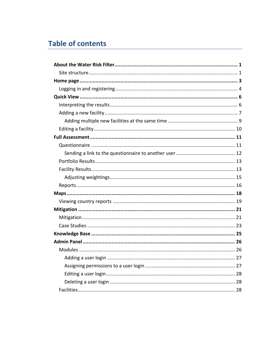# **Table of contents**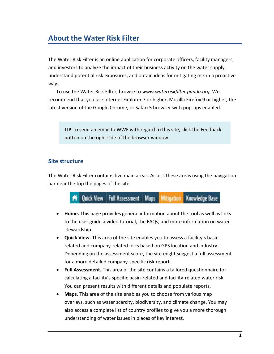# **About the Water Risk Filter**

The Water Risk Filter is an online application for corporate officers, facility managers, and investors to analyze the impact of their business activity on the water supply, understand potential risk exposures, and obtain ideas for mitigating risk in a proactive way.

To use the Water Risk Filter, browse to *www.waterriskfilter.panda.org.* We recommend that you use Internet Explorer 7 or higher, Mozilla Firefox 9 or higher, the latest version of the Google Chrome, or Safari 5 browser with pop-ups enabled.

**TIP** To send an email to WWF with regard to this site, click the Feedback button on the right side of the browser window.

### <span id="page-4-0"></span>**Site structure**

The Water Risk Filter contains five main areas. Access these areas using the navigation bar near the top the pages of the site.



- **Home.** This page provides general information about the tool as well as links to the user guide a video tutorial, the FAQs, and more information on water stewardship.
- **Quick View.** This area of the site enables you to assess a facility's basinrelated and company-related risks based on GPS location and industry. Depending on the assessment score, the site might suggest a full assessment for a more detailed company-specific risk report.
- **Full Assessment.** This area of the site contains a tailored questionnaire for calculating a facility's specific basin-related and facility-related water risk. You can present results with different details and populate reports.
- **Maps.** This area of the site enables you to choose from various map overlays, such as water scarcity, biodiversity, and climate change. You may also access a complete list of country profiles to give you a more thorough understanding of water issues in places of key interest.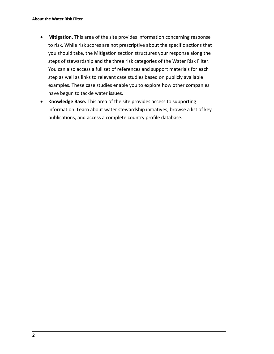- **Mitigation.** This area of the site provides information concerning response to risk. While risk scores are not prescriptive about the specific actions that you should take, the Mitigation section structures your response along the steps of stewardship and the three risk categories of the Water Risk Filter. You can also access a full set of references and support materials for each step as well as links to relevant case studies based on publicly available examples. These case studies enable you to explore how other companies have begun to tackle water issues.
- **Knowledge Base.** This area of the site provides access to supporting information. Learn about water stewardship initiatives, browse a list of key publications, and access a complete country profile database.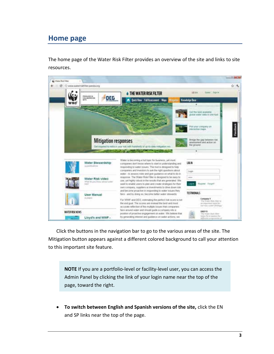## <span id="page-6-0"></span>**Home page**

The home page of the Water Risk Filter provides an overview of the site and links to site resources.



Click the buttons in the navigation bar to go to the various areas of the site. The Mitigation button appears against a different colored background to call your attention to this important site feature.

**NOTE** If you are a portfolio-level or facility-level user, you can access the Admin Panel by clicking the link of your login name near the top of the page, toward the right.

 **To switch between English and Spanish versions of the site,** click the EN and SP links near the top of the page.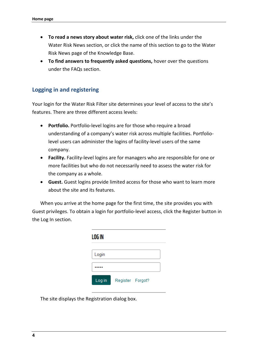- **To read a news story about water risk,** click one of the links under the Water Risk News section, or click the name of this section to go to the Water Risk News page of the Knowledge Base.
- **To find answers to frequently asked questions,** hover over the questions under the FAQs section.

### <span id="page-7-0"></span>**Logging in and registering**

Your login for the Water Risk Filter site determines your level of access to the site's features. There are three different access levels:

- **Portfolio.** Portfolio-level logins are for those who require a broad understanding of a company's water risk across multiple facilities. Portfoliolevel users can administer the logins of facility-level users of the same company.
- **Facility.** Facility-level logins are for managers who are responsible for one or more facilities but who do not necessarily need to assess the water risk for the company as a whole.
- **Guest.** Guest logins provide limited access for those who want to learn more about the site and its features.

When you arrive at the home page for the first time, the site provides you with Guest privileges. To obtain a login for portfolio-level access, click the Register button in the Log In section.

| LOG IN |                  |  |
|--------|------------------|--|
| Login  |                  |  |
|        |                  |  |
| Log in | Register Forgot? |  |

The site displays the Registration dialog box.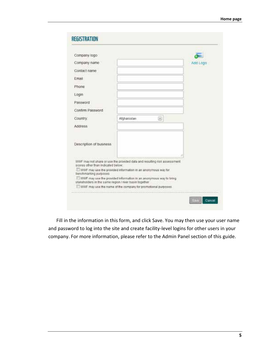| Company logo                                                                                                                                                                                                                                                                                                                                                                                             |             |               |          |
|----------------------------------------------------------------------------------------------------------------------------------------------------------------------------------------------------------------------------------------------------------------------------------------------------------------------------------------------------------------------------------------------------------|-------------|---------------|----------|
| Company name                                                                                                                                                                                                                                                                                                                                                                                             |             |               | Add Logo |
| Contact name                                                                                                                                                                                                                                                                                                                                                                                             |             |               |          |
| Finall                                                                                                                                                                                                                                                                                                                                                                                                   |             |               |          |
| Phone                                                                                                                                                                                                                                                                                                                                                                                                    |             |               |          |
| Login                                                                                                                                                                                                                                                                                                                                                                                                    |             |               |          |
| Password                                                                                                                                                                                                                                                                                                                                                                                                 |             |               |          |
| Confirm Password                                                                                                                                                                                                                                                                                                                                                                                         |             |               |          |
| Country:                                                                                                                                                                                                                                                                                                                                                                                                 | Afghanistan | $\mathcal{V}$ |          |
| Address                                                                                                                                                                                                                                                                                                                                                                                                  |             |               |          |
| Description of business                                                                                                                                                                                                                                                                                                                                                                                  |             |               |          |
| WWF may not share or use the provided data and resulting risk assessment.<br>scores other than indicated below.<br>WWF may use the provided information in an anonymous way for<br>benchmarking purposes<br>WWF may use the provided information in an anonymous way to bring<br>stakeholders in the same region I river basin together<br>WWF may use the name of the company for promotional purposes. |             |               |          |

Fill in the information in this form, and click Save. You may then use your user name and password to log into the site and create facility-level logins for other users in your company. For more information, please refer to the Admin Panel section of this guide.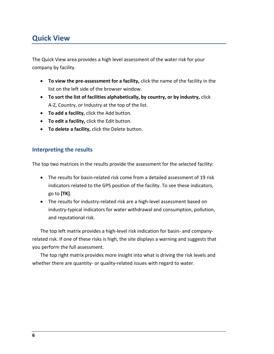# <span id="page-9-0"></span>**Quick View**

The Quick View area provides a high level assessment of the water risk for your company by facility.

- **To view the pre-assessment for a facility,** click the name of the facility in the list on the left side of the browser window.
- **To sort the list of facilities alphabetically, by country, or by industry,** click A-Z, Country, or Industry at the top of the list.
- **To add a facility,** click the Add button.
- **To edit a facility,** click the Edit button.
- **To delete a facility,** click the Delete button.

### <span id="page-9-1"></span>**Interpreting the results**

The top two matrices in the results provide the assessment for the selected facility:

- The results for basin-related risk come from a detailed assessment of 19 risk indicators related to the GPS position of the facility. To see these indicators, go to **[TK]**.
- The results for industry-related risk are a high-level assessment based on industry-typical indicators for water withdrawal and consumption, pollution, and reputational risk.

The top left matrix provides a high-level risk indication for basin- and companyrelated risk. If one of these risks is high, the site displays a warning and suggests that you perform the full assessment.

The top right matrix provides more insight into what is driving the risk levels and whether there are quantity- or quality-related issues with regard to water.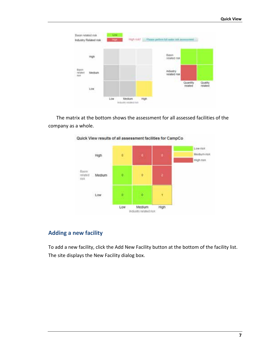

The matrix at the bottom shows the assessment for all assessed facilities of the company as a whole.



Quick View results of all assessment facilities for CampCo

### <span id="page-10-0"></span>**Adding a new facility**

To add a new facility, click the Add New Facility button at the bottom of the facility list. The site displays the New Facility dialog box.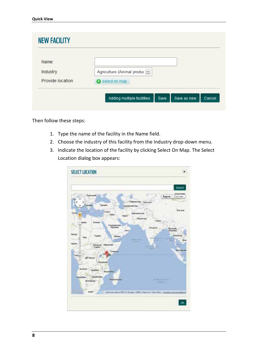| Name             |                              |
|------------------|------------------------------|
| Industry         | Agriculture (Animal produc V |
| Provide location | select on map                |

Then follow these steps:

- 1. Type the name of the facility in the Name field.
- 2. Choose the industry of this facility from the Industry drop-down menu.
- 3. Indicate the location of the facility by clicking Select On Map. The Select Location dialog box appears:

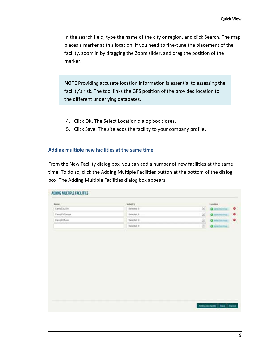In the search field, type the name of the city or region, and click Search. The map places a marker at this location. If you need to fine-tune the placement of the facility, zoom in by dragging the Zoom slider, and drag the position of the marker.

**NOTE** Providing accurate location information is essential to assessing the facility's risk. The tool links the GPS position of the provided location to the different underlying databases.

- 4. Click OK. The Select Location dialog box closes.
- 5. Click Save. The site adds the facility to your company profile.

#### <span id="page-12-0"></span>**Adding multiple new facilities at the same time**

From the New Facility dialog box, you can add a number of new facilities at the same time. To do so, click the Adding Multiple Facilities button at the bottom of the dialog box. The Adding Multiple Facilities dialog box appears.

| Name <sub>1</sub> | <b>Multipley</b> |          | License             |
|-------------------|------------------|----------|---------------------|
| Carris/CoUSA      | <b>Seems</b> 8   |          | <b>Q</b> telebising |
| CampCoEurope      | Selected II      |          | <b>O</b> HATHUNG    |
| CampCohoia        | Sewched G        | (0.0010) | <b>Q</b> MATIFIED   |
|                   | <b>Seemst 8</b>  |          | O leatin fue        |
|                   |                  |          |                     |
|                   |                  |          |                     |
|                   |                  |          |                     |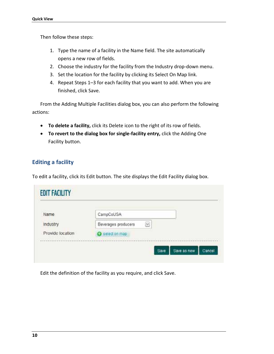Then follow these steps:

- 1. Type the name of a facility in the Name field. The site automatically opens a new row of fields.
- 2. Choose the industry for the facility from the Industry drop-down menu.
- 3. Set the location for the facility by clicking its Select On Map link.
- 4. Repeat Steps 1–3 for each facility that you want to add. When you are finished, click Save.

From the Adding Multiple Facilities dialog box, you can also perform the following actions:

- **To delete a facility,** click its Delete icon to the right of its row of fields.
- **To revert to the dialog box for single-facility entry,** click the Adding One Facility button.

### <span id="page-13-0"></span>**Editing a facility**

To edit a facility, click its Edit button. The site displays the Edit Facility dialog box.

| Name.            | CampCoUSA                |  |  |
|------------------|--------------------------|--|--|
| Industry         | Beverages producers<br>쎈 |  |  |
| Provide location | <b>O</b> selection map   |  |  |

Edit the definition of the facility as you require, and click Save.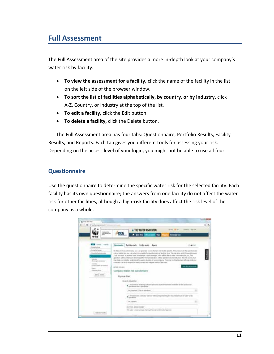# <span id="page-14-0"></span>**Full Assessment**

The Full Assessment area of the site provides a more in-depth look at your company's water risk by facility.

- **To view the assessment for a facility,** click the name of the facility in the list on the left side of the browser window.
- **To sort the list of facilities alphabetically, by country, or by industry,** click A-Z, Country, or Industry at the top of the list.
- **To edit a facility,** click the Edit button.
- **To delete a facility,** click the Delete button.

The Full Assessment area has four tabs: Questionnaire, Portfolio Results, Facility Results, and Reports. Each tab gives you different tools for assessing your risk. Depending on the access level of your login, you might not be able to use all four.

### <span id="page-14-1"></span>**Questionnaire**

Use the questionnaire to determine the specific water risk for the selected facility. Each facility has its own questionnaire; the answers from one facility do not affect the water risk for other facilities, although a high-risk facility does affect the risk level of the company as a whole.

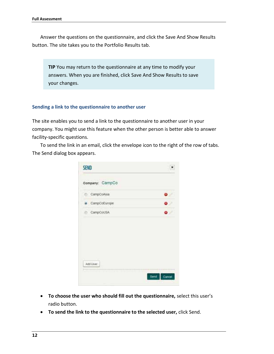Answer the questions on the questionnaire, and click the Save And Show Results button. The site takes you to the Portfolio Results tab.

**TIP** You may return to the questionnaire at any time to modify your answers. When you are finished, click Save And Show Results to save your changes.

#### <span id="page-15-0"></span>**Sending a link to the questionnaire to another user**

The site enables you to send a link to the questionnaire to another user in your company. You might use this feature when the other person is better able to answer facility-specific questions.

To send the link in an email, click the envelope icon to the right of the row of tabs. The Send dialog box appears.

| SEND            |             |
|-----------------|-------------|
| Company: CampCo |             |
| CampCoAsia      |             |
| · CampCoEurope  |             |
| CampCoUSA       |             |
| Add User        |             |
|                 | . .<br>Send |

- **To choose the user who should fill out the questionnaire,** select this user's radio button.
- **To send the link to the questionnaire to the selected user,** click Send.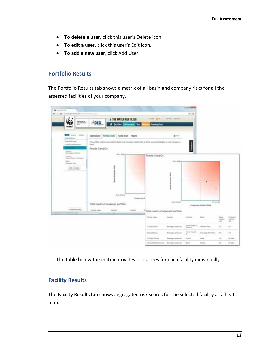- **To delete a user,** click this user's Delete icon.
- **To edit a user,** click this user's Edit icon.
- **To add a new user,** click Add User.

#### <span id="page-16-0"></span>**Portfolio Results**

The Portfolio Results tab shows a matrix of all basin and company risks for all the assessed facilities of your company.



<span id="page-16-1"></span>The table below the matrix provides risk scores for each facility individually.

#### **Facility Results**

The Facility Results tab shows aggregated risk scores for the selected facility as a heat map.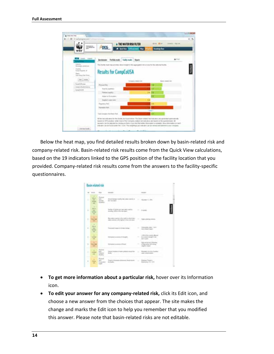

Below the heat map, you find detailed results broken down by basin-related risk and company-related risk. Basin-related risk results come from the Quick View calculations, based on the 19 indicators linked to the GPS position of the facility location that you provided. Company-related risk results come from the answers to the facility-specific questionnaires.



- **To get more information about a particular risk,** hover over its Information icon.
- **To edit your answer for any company-related risk,** click its Edit icon, and choose a new answer from the choices that appear. The site makes the change and marks the Edit icon to help you remember that you modified this answer. Please note that basin-related risks are not editable.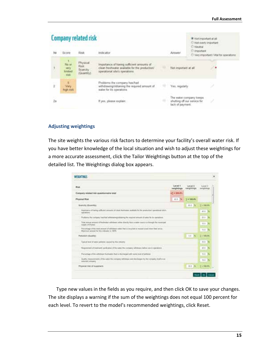|     |                                         | <b>Company related risk</b>                             |                                                                                                                               |    |                                                       | ills to traportant of #<br>20 Not overly important |                                          |
|-----|-----------------------------------------|---------------------------------------------------------|-------------------------------------------------------------------------------------------------------------------------------|----|-------------------------------------------------------|----------------------------------------------------|------------------------------------------|
| 324 | Score                                   | 635479<br>Rosk                                          | Indicator                                                                                                                     |    | Amaer                                                 | D Neutral<br>D'important                           | C: Very important / Vital for operations |
|     | 小津山<br>No or<br>very<br>lenited<br>risk | Physical<br>Risk:<br>Scarcity <sup>®</sup><br>(Quantty) | Importance of having sufficient amounts of<br>clean freshwater available for the production/<br>npetational site's operations |    | Not important at all<br><b>A ROCK TO A CARD THE R</b> |                                                    |                                          |
| ì.  | к<br>Very<br>high milk                  |                                                         | Problems the company has/had<br>withdrawing/obtaining the required amount of<br>water for its operations.                     | 理论 | Yas, regulaty                                         |                                                    |                                          |
| 2a  |                                         |                                                         | If yes, please explain:                                                                                                       |    | shutting off our sarvice for<br>lack of payment.      | The water company keeps                            |                                          |

#### <span id="page-18-0"></span>**Adjusting weightings**

The site weights the various risk factors to determine your facility's overall water risk. If you have better knowledge of the local situation and wish to adjust these weightings for a more accurate assessment, click the Tailor Weightings button at the top of the detailed list. The Weightings dialog box appears.

| WEEK TINS                                                                                                                                                                        |                         |                     |               |
|----------------------------------------------------------------------------------------------------------------------------------------------------------------------------------|-------------------------|---------------------|---------------|
| <b>LIFETIN</b><br><b>Blak</b>                                                                                                                                                    | Lavinal 4<br>eeightings | Larvel T<br>reducer | Level 3       |
| Company related risk questionnaire tutal                                                                                                                                         | 42+108.8%               |                     |               |
| Physical Risk                                                                                                                                                                    | 41.8 %                  | $T = 100.8%$        |               |
| <b>Branchi (Quantiti)</b>                                                                                                                                                        |                         | 46.0 No             | $T = 340.0\%$ |
| Importance of harms software arounder of class thermaker publishe for the production spendomal site's<br>appropriated.                                                           |                         |                     | 414 %         |
| 7. Profileme this company has that with the energy blue required entrate of water the be contained.                                                                              |                         |                     | 四日 海          |
| Total porcell arrows of finalisated with these settles than the typical problem on through the recoverage.<br>watahi (IN3/year)<br>prestigation of the company of the product of |                         |                     | 71.1.15       |
| Parcertage of the total amount of witchways subscribed as terrorisal coloral toward men securi-<br>Maximum around furthis indicate to 187%<br>CASA E ROMANO                      |                         |                     | 地主 海          |
| Pattuton (Gualda)                                                                                                                                                                |                         | 11.79               | $2 - 30006$   |
| Typical lane) of leater pollutial classed by this interest                                                                                                                       |                         |                     | M.E. 1%       |
| To summer of themself, performs of the letter the company with bank better year is operators:                                                                                    |                         |                     | $411 - 56$    |
| Particularly of the settlebase, businesses that is discrimined with pains invel of justman                                                                                       |                         |                     | 71.7%         |
| Guilty youngerments of the enter the company retinitions and disclinizes by the company tired or an-<br>andromal permanent<br>a control and a state of the con-                  |                         |                     | $70.2 - 76$   |
| Prysocal risk of expatrers                                                                                                                                                       |                         | 20.0 (%)            | $T = 740.05$  |

Type new values in the fields as you require, and then click OK to save your changes. The site displays a warning if the sum of the weightings does not equal 100 percent for each level. To revert to the model's recommended weightings, click Reset.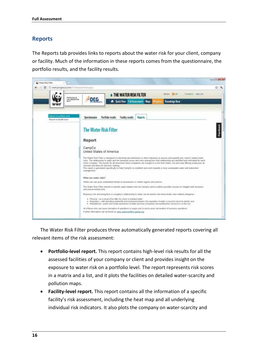### <span id="page-19-0"></span>**Reports**

The Reports tab provides links to reports about the water risk for your client, company or facility. Much of the information in these reports comes from the questionnaire, the portfolio results, and the facility results.



The Water Risk Filter produces three automatically generated reports covering all relevant items of the risk assessment:

- **Portfolio-level report.** This report contains high-level risk results for all the assessed facilities of your company or client and provides insight on the exposure to water risk on a portfolio level. The report represents risk scores in a matrix and a list, and it plots the facilities on detailed water-scarcity and pollution maps.
- **Facility-level report.** This report contains all the information of a specific facility's risk assessment, including the heat map and all underlying individual risk indicators. It also plots the company on water-scarcity and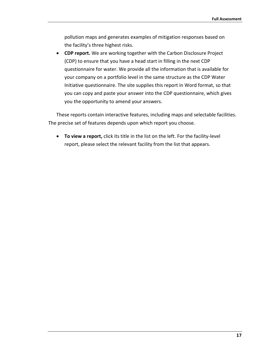pollution maps and generates examples of mitigation responses based on the facility's three highest risks.

 **CDP report.** We are working together with the Carbon Disclosure Project (CDP) to ensure that you have a head start in filling in the next CDP questionnaire for water. We provide all the information that is available for your company on a portfolio level in the same structure as the CDP Water Initiative questionnaire. The site supplies this report in Word format, so that you can copy and paste your answer into the CDP questionnaire, which gives you the opportunity to amend your answers.

These reports contain interactive features, including maps and selectable facilities. The precise set of features depends upon which report you choose.

 **To view a report,** click its title in the list on the left. For the facility-level report, please select the relevant facility from the list that appears.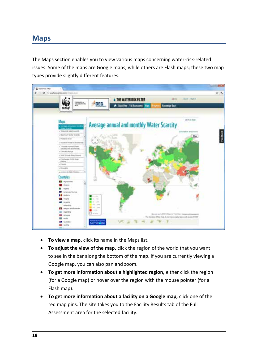### <span id="page-21-0"></span>**Maps**

The Maps section enables you to view various maps concerning water-risk-related issues. Some of the maps are Google maps, while others are Flash maps; these two map types provide slightly different features.



- **To view a map,** click its name in the Maps list.
- **To adjust the view of the map,** click the region of the world that you want to see in the bar along the bottom of the map. If you are currently viewing a Google map, you can also pan and zoom.
- **To get more information about a highlighted region,** either click the region (for a Google map) or hover over the region with the mouse pointer (for a Flash map).
- **To get more information about a facility on a Google map,** click one of the red map pins. The site takes you to the Facility Results tab of the Full Assessment area for the selected facility.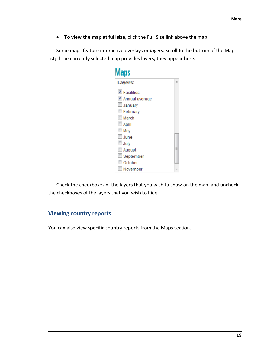**To view the map at full size,** click the Full Size link above the map.

Some maps feature interactive overlays or *layers.* Scroll to the bottom of the Maps list; if the currently selected map provides layers, they appear here.

| Maps                |  |
|---------------------|--|
| Layers:             |  |
| $\nabla$ Facilities |  |
| Annual average      |  |
| January             |  |
| February            |  |
| March               |  |
| April               |  |
| $\Box$ May          |  |
| U June              |  |
| <b>July</b>         |  |
| August              |  |
| September           |  |
| October             |  |
| November            |  |

<span id="page-22-0"></span>Check the checkboxes of the layers that you wish to show on the map, and uncheck the checkboxes of the layers that you wish to hide.

### **Viewing country reports**

You can also view specific country reports from the Maps section.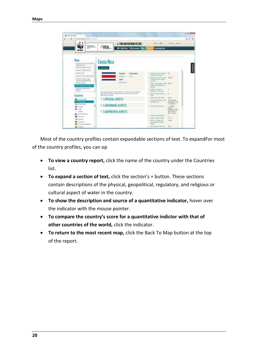

Most of the country profiles contain expandable sections of text. To expandFor most of the country profiles, you can op

- **To view a country report,** click the name of the country under the Countries list.
- **To expand a section of text,** click the section's + button. These sections contain descriptions of the physical, geopolitical, regulatory, and religious or cultural aspect of water in the country.
- **To show the description and source of a quantitative indicator,** hover over the indicator with the mouse pointer.
- **To compare the country's score for a quantitative indictor with that of other countries of the world,** click the indicator.
- **To return to the most recent map,** click the Back To Map button at the top of the report.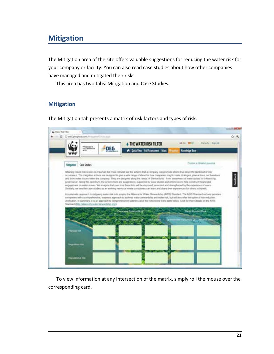# <span id="page-24-0"></span>**Mitigation**

The Mitigation area of the site offers valuable suggestions for reducing the water risk for your company or facility. You can also read case studies about how other companies have managed and mitigated their risks.

<span id="page-24-1"></span>This area has two tabs: Mitigation and Case Studies.

### **Mitigation**

The Mitigation tab presents a matrix of risk factors and types of risk.



To view information at any intersection of the matrix, simply roll the mouse over the corresponding card.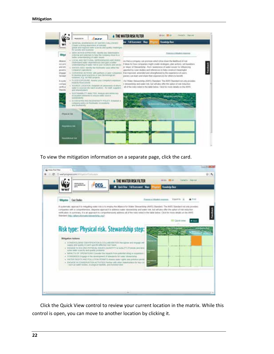

To view the mitigation information on a separate page, click the card.



Click the Quick View control to review your current location in the matrix. While this control is open, you can move to another location by clicking it.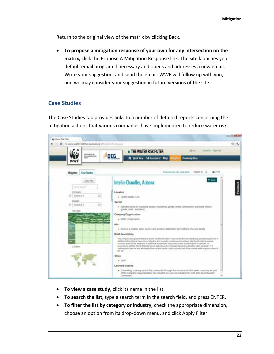Return to the original view of the matrix by clicking Back.

 **To propose a mitigation response of your own for any intersection on the matrix,** click the Propose A Mitigation Response link. The site launches your default email program if necessary and opens and addresses a new email. Write your suggestion, and send the email. WWF will follow up with you, and we may consider your suggestion in future versions of the site.

#### <span id="page-26-0"></span>**Case Studies**

The Case Studies tab provides links to a number of detailed reports concerning the mitigation actions that various companies have implemented to reduce water risk.



- **To view a case study,** click its name in the list.
- **To search the list,** type a search term in the search field, and press ENTER.
- **To filter the list by category or industry,** check the appropriate dimension, choose an option from its drop-down menu, and click Apply Filter.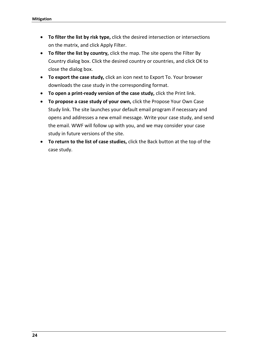- **To filter the list by risk type,** click the desired intersection or intersections on the matrix, and click Apply Filter.
- **To filter the list by country,** click the map. The site opens the Filter By Country dialog box. Click the desired country or countries, and click OK to close the dialog box.
- **To export the case study,** click an icon next to Export To. Your browser downloads the case study in the corresponding format.
- **To open a print-ready version of the case study,** click the Print link.
- **To propose a case study of your own,** click the Propose Your Own Case Study link. The site launches your default email program if necessary and opens and addresses a new email message. Write your case study, and send the email. WWF will follow up with you, and we may consider your case study in future versions of the site.
- **To return to the list of case studies,** click the Back button at the top of the case study.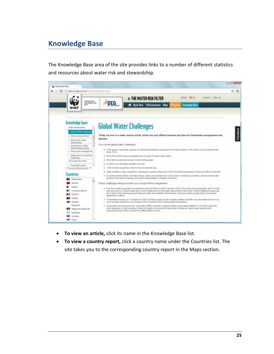# <span id="page-28-0"></span>**Knowledge Base**

The Knowledge Base area of the site provides links to a number of different statistics and resources about water risk and stewardship.



- **To view an article,** click its name in the Knowledge Base list.
- **To view a country report,** click a country name under the Countries list. The site takes you to the corresponding country report in the Maps section.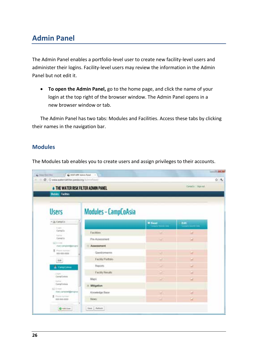# <span id="page-29-0"></span>**Admin Panel**

The Admin Panel enables a portfolio-level user to create new facility-level users and administer their logins. Facility-level users may review the information in the Admin Panel but not edit it.

 **To open the Admin Panel,** go to the home page, and click the name of your login at the top right of the browser window. The Admin Panel opens in a new browser window or tab.

<span id="page-29-1"></span>The Admin Panel has two tabs: Modules and Facilities. Access these tabs by clicking their names in the navigation bar.

### **Modules**

The Modules tab enables you to create users and assign privileges to their accounts.

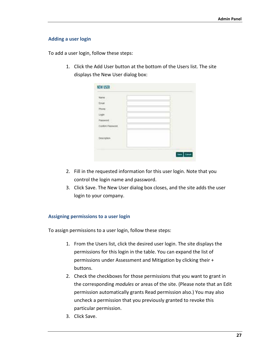#### <span id="page-30-0"></span>**Adding a user login**

To add a user login, follow these steps:

1. Click the Add User button at the bottom of the Users list. The site displays the New User dialog box:

| <b>Trust</b>                             | ٠ |
|------------------------------------------|---|
| <b>Filtering</b>                         |   |
|                                          |   |
| Posselet                                 |   |
| Confort Pasquord<br><b>Manufacturers</b> |   |
|                                          |   |
|                                          |   |
|                                          |   |

- 2. Fill in the requested information for this user login. Note that you control the login name and password.
- 3. Click Save. The New User dialog box closes, and the site adds the user login to your company.

#### <span id="page-30-1"></span>**Assigning permissions to a user login**

To assign permissions to a user login, follow these steps:

- 1. From the Users list, click the desired user login. The site displays the permissions for this login in the table. You can expand the list of permissions under Assessment and Mitigation by clicking their + buttons.
- 2. Check the checkboxes for those permissions that you want to grant in the corresponding *modules* or areas of the site. (Please note that an Edit permission automatically grants Read permission also.) You may also uncheck a permission that you previously granted to revoke this particular permission.
- 3. Click Save.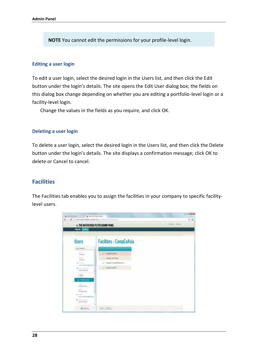**NOTE** You cannot edit the permissions for your profile-level login.

#### <span id="page-31-0"></span>**Editing a user login**

To edit a user login, select the desired login in the Users list, and then click the Edit button under the login's details. The site opens the Edit User dialog box; the fields on this dialog box change depending on whether you are editing a portfolio-level login or a facility-level login.

<span id="page-31-1"></span>Change the values in the fields as you require, and click OK.

#### **Deleting a user login**

To delete a user login, select the desired login in the Users list, and then click the Delete button under the login's details. The site displays a confirmation message; click OK to delete or Cancel to cancel.

#### <span id="page-31-2"></span>**Facilities**

The Facilities tab enables you to assign the facilities in your company to specific facilitylevel users.